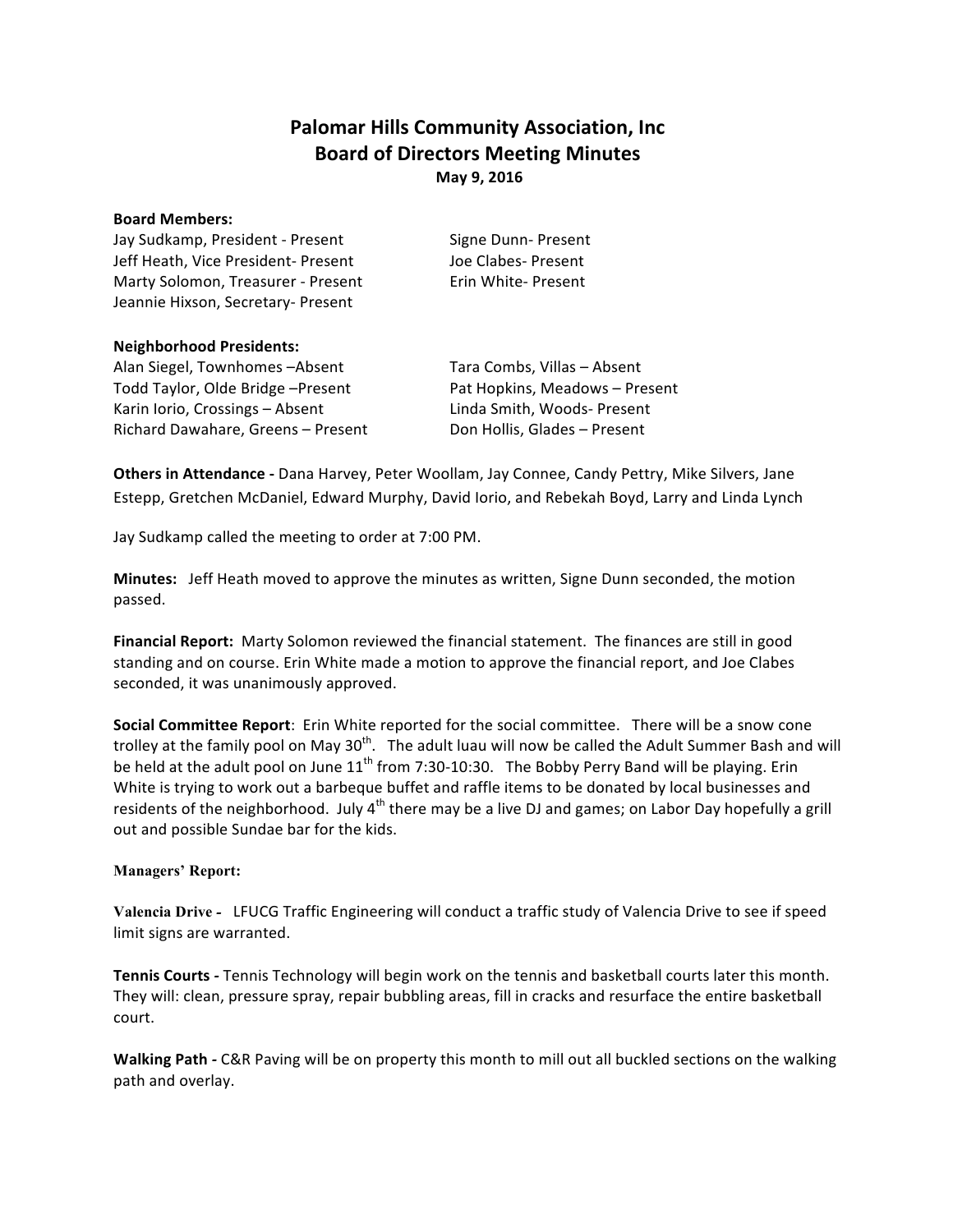# **Palomar Hills Community Association, Inc. Board of Directors Meeting Minutes May 9, 2016**

#### **Board Members:**

Jay Sudkamp, President - Present Signe Dunn- Present Jeff Heath, Vice President- Present Joe Clabes- Present Marty Solomon, Treasurer - Present Erin White- Present Jeannie Hixson, Secretary- Present

### **Neighborhood Presidents:**

Alan Siegel, Townhomes -Absent Tara Combs, Villas - Absent Todd Taylor, Olde Bridge –Present Pat Hopkins, Meadows – Present Karin Iorio, Crossings - Absent Linda Smith, Woods- Present Richard Dawahare, Greens – Present Don Hollis, Glades – Present

**Others in Attendance** - Dana Harvey, Peter Woollam, Jay Connee, Candy Pettry, Mike Silvers, Jane Estepp, Gretchen McDaniel, Edward Murphy, David Iorio, and Rebekah Boyd, Larry and Linda Lynch

Jay Sudkamp called the meeting to order at 7:00 PM.

**Minutes:** Jeff Heath moved to approve the minutes as written, Signe Dunn seconded, the motion passed. 

Financial Report: Marty Solomon reviewed the financial statement. The finances are still in good standing and on course. Erin White made a motion to approve the financial report, and Joe Clabes seconded, it was unanimously approved.

**Social Committee Report**: Erin White reported for the social committee. There will be a snow cone trolley at the family pool on May 30<sup>th</sup>. The adult luau will now be called the Adult Summer Bash and will be held at the adult pool on June  $11^{th}$  from 7:30-10:30. The Bobby Perry Band will be playing. Erin White is trying to work out a barbeque buffet and raffle items to be donated by local businesses and residents of the neighborhood. July  $4<sup>th</sup>$  there may be a live DJ and games; on Labor Day hopefully a grill out and possible Sundae bar for the kids.

## **Managers' Report:**

**Valencia Drive -** LFUCG Traffic Engineering will conduct a traffic study of Valencia Drive to see if speed limit signs are warranted.

**Tennis Courts** - Tennis Technology will begin work on the tennis and basketball courts later this month. They will: clean, pressure spray, repair bubbling areas, fill in cracks and resurface the entire basketball court.

**Walking Path** - C&R Paving will be on property this month to mill out all buckled sections on the walking path and overlay.